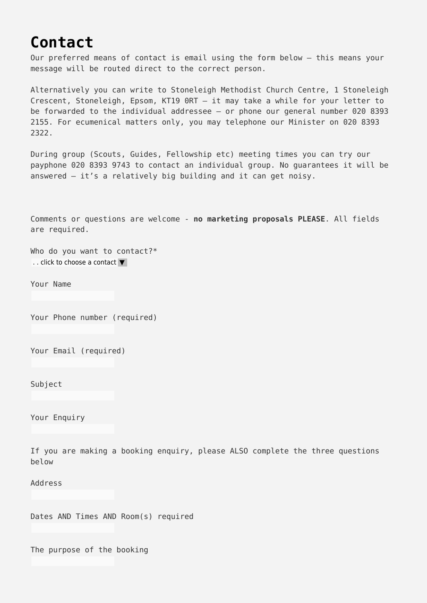## **[Contact](https://stoneleighmethodist.church/contact/)**

Our preferred means of contact is email using the form below – this means your message will be routed direct to the correct person.

Alternatively you can write to Stoneleigh Methodist Church Centre, 1 Stoneleigh Crescent, Stoneleigh, Epsom, KT19 0RT – it may take a while for your letter to be forwarded to the individual addressee – or phone our general number 020 8393 2155. For ecumenical matters only, you may telephone our Minister on 020 8393 2322.

During group (Scouts, Guides, Fellowship etc) meeting times you can try our payphone 020 8393 9743 to contact an individual group. No guarantees it will be answered – it's a relatively big building and it can get noisy.

Comments or questions are welcome - **no marketing proposals PLEASE**. All fields are required.

Who do you want to contact?\* .. click to choose a contact ▼

Your Name

Your Phone number (required)

Your Email (required)

Subject

Your Enquiry

If you are making a booking enquiry, please ALSO complete the three questions below

Address

Dates AND Times AND Room(s) required

The purpose of the booking